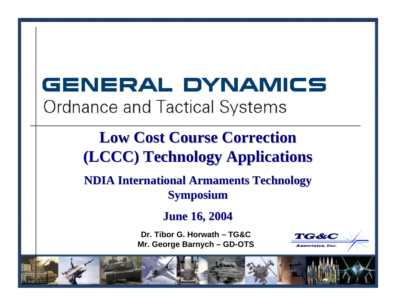# GENERAL DYNAMICS **Ordnance and Tactical Systems**

# **Low Cost Course Correction Low Cost Course Correction (LCCC) Technology Applications (LCCC) Technology Applications**

**NDIA International Armaments Technology NDIA International Armaments Technology Symposium Symposium**

**June 16, 2004 June 16, 2004**

**Dr. Tibor G. Horwath – TG&CMr. George Barnych – GD-OTS**

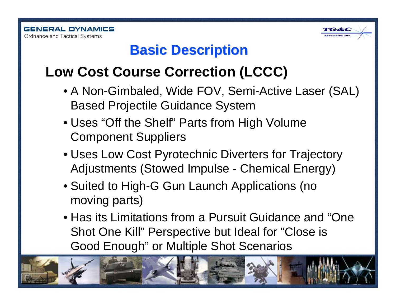

### **Basic Description Basic Description**

## **Low Cost Course Correction (LCCC)**

- A Non-Gimbaled, Wide FOV, Semi-Active Laser (SAL) Based Projectile Guidance System
- Uses "Off the Shelf" Parts from High Volume Component Suppliers
- Uses Low Cost Pyrotechnic Diverters for Trajectory Adjustments (Stowed Impulse - Chemical Energy)
- Suited to High-G Gun Launch Applications (no moving parts)
- Has its Limitations from a Pursuit Guidance and "OneShot One Kill" Perspective but Ideal for "Close is Good Enough" or Multiple Shot Scenarios

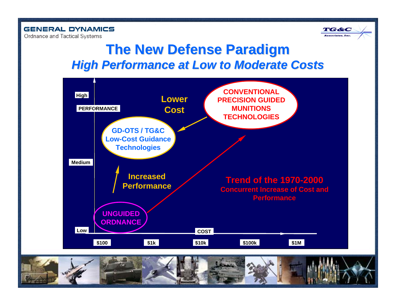**GENERAL DYNAMICS Ordnance and Tactical Systems** 



#### **The New Defense Paradigm The New Defense Paradigm High Performance at Low to Moderate Costs**



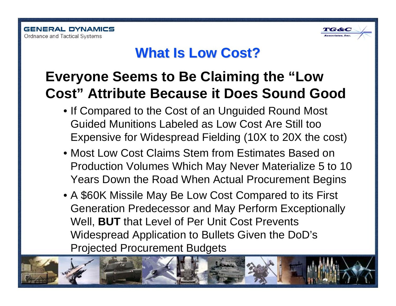

#### **What Is Low Cost? What Is Low Cost?**

### **Everyone Seems to Be Claiming the "Low Cost" Attribute Because it Does Sound Good**

- If Compared to the Cost of an Unguided Round Most Guided Munitions Labeled as Low Cost Are Still tooExpensive for Widespread Fielding (10X to 20X the cost)
- Most Low Cost Claims Stem from Estimates Based onProduction Volumes Which May Never Materialize 5 to 10 Years Down the Road When Actual Procurement Begins
- A \$60K Missile May Be Low Cost Compared to its First Generation Predecessor and May Perform Exceptionally Well, **BUT** that Level of Per Unit Cost Prevents Widespread Application to Bullets Given the DoD's Projected Procurement Budgets

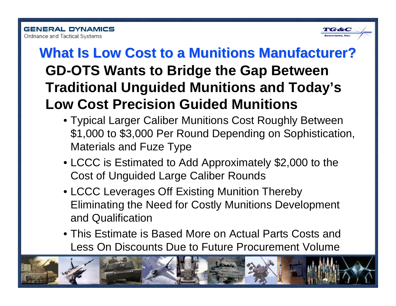

# **GD-OTS Wants to Bridge the Gap Between Traditional Unguided Munitions and Today's Low Cost Precision Guided MunitionsWhat Is Low Cost to a Munitions Manufacturer?**

- Typical Larger Caliber Munitions Cost Roughly Between \$1,000 to \$3,000 Per Round Depending on Sophistication, Materials and Fuze Type
- LCCC is Estimated to Add Approximately \$2,000 to the Cost of Unguided Large Caliber Rounds
- LCCC Leverages Off Existing Munition Thereby Eliminating the Need for Costly Munitions Development and Qualification
- This Estimate is Based More on Actual Parts Costs andLess On Discounts Due to Future Procurement Volume

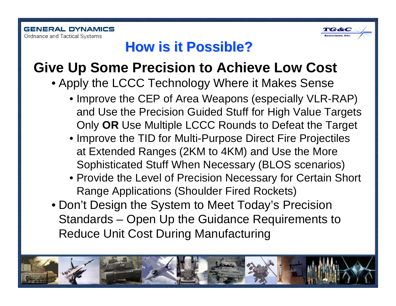

### **How is it Possible? How is it Possible?**

#### **Give Up Some Precision to Achieve Low Cost**

- Apply the LCCC Technology Where it Makes Sense
	- Improve the CEP of Area Weapons (especially VLR-RAP) and Use the Precision Guided Stuff for High Value Targets Only **OR** Use Multiple LCCC Rounds to Defeat the Target
	- Improve the TID for Multi-Purpose Direct Fire Projectiles at Extended Ranges (2KM to 4KM) and Use the More Sophisticated Stuff When Necessary (BLOS scenarios)
	- Provide the Level of Precision Necessary for Certain Short Range Applications (Shoulder Fired Rockets)
- Don't Design the System to Meet Today's Precision Standards – Open Up the Guidance Requirements to Reduce Unit Cost During Manufacturing

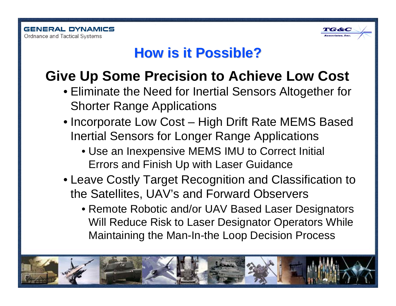

#### **How is it Possible? How is it Possible?**

# **Give Up Some Precision to Achieve Low Cost**

- Eliminate the Need for Inertial Sensors Altogether for Shorter Range Applications
- Incorporate Low Cost High Drift Rate MEMS Based Inertial Sensors for Longer Range Applications
	- Use an Inexpensive MEMS IMU to Correct Initial Errors and Finish Up with Laser Guidance
- Leave Costly Target Recognition and Classification to the Satellites, UAV's and Forward Observers
	- Remote Robotic and/or UAV Based Laser Designators Will Reduce Risk to Laser Designator Operators While Maintaining the Man-In-the Loop Decision Process

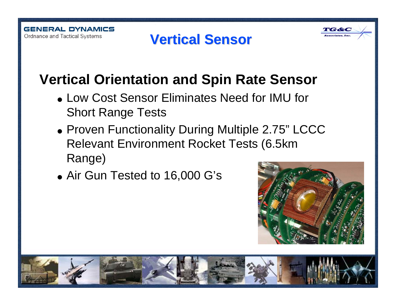# **Vertical Sensor Vertical Sensor**



# **Vertical Orientation and Spin Rate Sensor**

- Low Cost Sensor Eliminates Need for IMU for Short Range Tests
- Proven Functionality During Multiple 2.75" LCCC Relevant Environment Rocket Tests (6.5km Range)
- Air Gun Tested to 16,000 G's

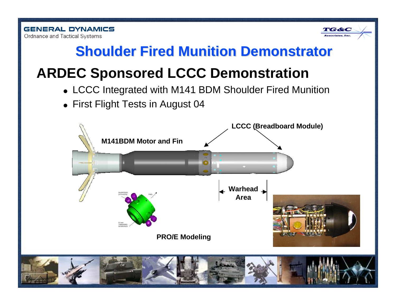

### **Shoulder Fired Munition Demonstrator Shoulder Fired Munition Demonstrator**

# **ARDEC Sponsored LCCC Demonstration**

- LCCC Integrated with M141 BDM Shoulder Fired Munition
- First Flight Tests in August 04

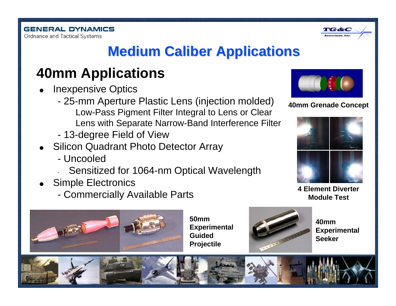

# **Medium Caliber Applications Medium Caliber Applications**

# **40mm Applications**

- 0 Inexpensive Optics
	- 25-mm Aperture Plastic Lens (injection molded) Low-Pass Pigment Filter Integral to Lens or Clear Lens with Separate Narrow-Band Interference Filter
	- 13-degree Field of View
- Silicon Quadrant Photo Detector Array
	- Uncooled
	- Sensitized for 1064-nm Optical Wavelength
- Simple Electronics
	- Commercially Available Parts



**50mmExperimental GuidedProjectile**



**40mmExperimental Seeker**



#### **40mm Grenade Concept**



**Module Test**